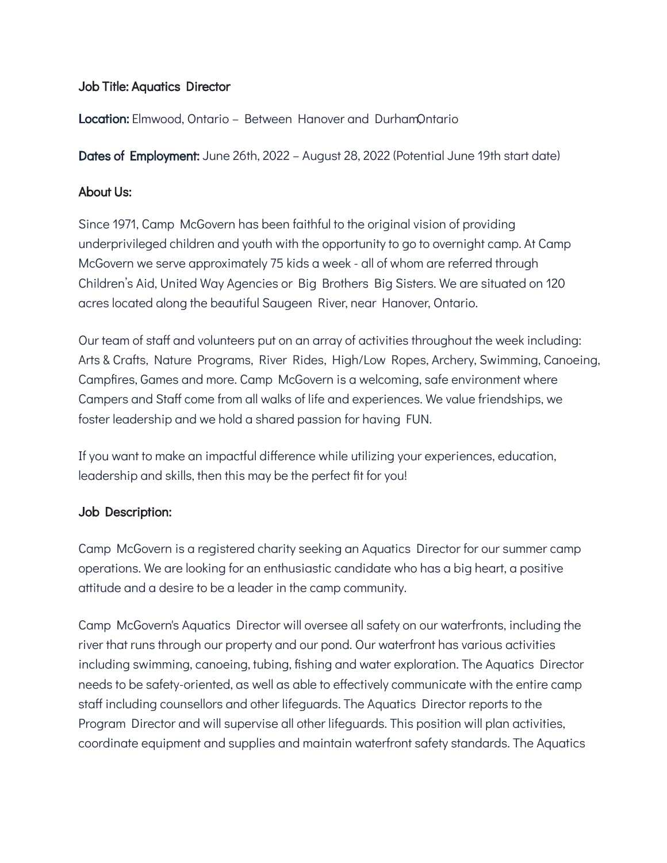## Job Title: Aquatics Director

**Location:** Elmwood, Ontario – Between Hanover and DurhamOntario

Dates of Employment: June 26th, 2022 - August 28, 2022 (Potential June 19th start date)

## About Us:

Since 1971, Camp McGovern has been faithful to the original vision of providing underprivileged children and youth with the opportunity to go to overnight camp. At Camp McGovern we serve approximately 75 kids a week - all of whom are referred through Children's Aid, United Way Agencies or Big Brothers Big Sisters. We are situated on 120 acres located along the beautiful Saugeen River, near Hanover, Ontario.

Our team of staff and volunteers put on an array of activities throughout the week including: Arts & Crafts, Nature Programs, River Rides, High/Low Ropes, Archery, Swimming, Canoeing, Campfires, Games and more. Camp McGovern is a welcoming, safe environment where Campers and Staff come from all walks of life and experiences. We value friendships, we foster leadership and we hold a shared passion for having FUN.

If you want to make an impactful difference while utilizing your experiences, education, leadership and skills, then this may be the perfect fit for you!

# Job Description:

Camp McGovern is a registered charity seeking an Aquatics Director for our summer camp operations. We are looking for an enthusiastic candidate who has a big heart, a positive attitude and a desire to be a leader in the camp community.

Camp McGovern's Aquatics Director will oversee all safety on our waterfronts, including the river that runs through our property and our pond. Our waterfront has various activities including swimming, canoeing, tubing, fishing and water exploration. The Aquatics Director needs to be safety-oriented, as well as able to effectively communicate with the entire camp staff including counsellors and other lifeguards. The Aquatics Director reports to the Program Director and will supervise all other lifeguards. This position will plan activities, coordinate equipment and supplies and maintain waterfront safety standards. The Aquatics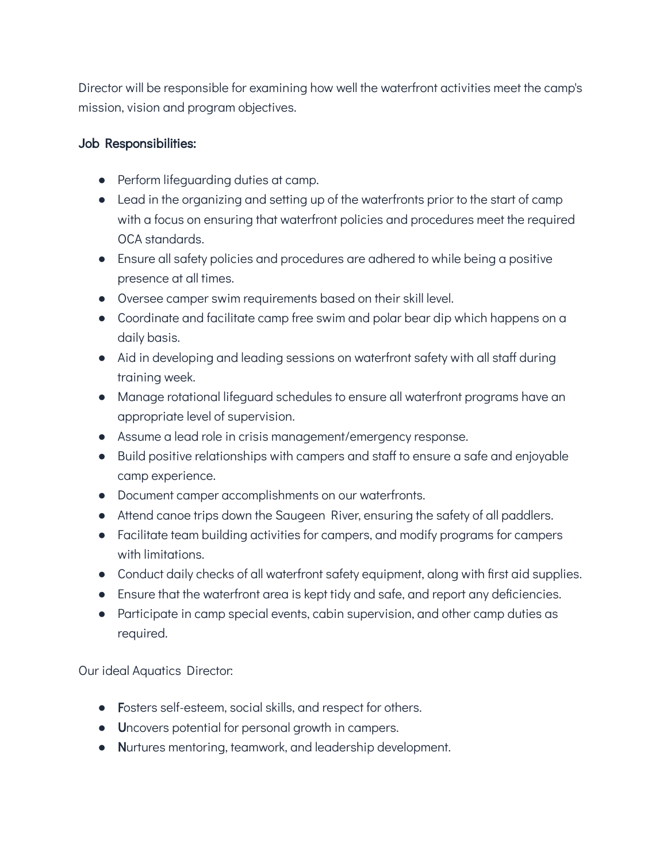Director will be responsible for examining how well the waterfront activities meet the camp's mission, vision and program objectives.

## Job Responsibilities:

- Perform lifeguarding duties at camp.
- Lead in the organizing and setting up of the waterfronts prior to the start of camp with a focus on ensuring that waterfront policies and procedures meet the required OCA standards.
- Ensure all safety policies and procedures are adhered to while being a positive presence at all times.
- Oversee camper swim requirements based on their skill level.
- Coordinate and facilitate camp free swim and polar bear dip which happens on a daily basis.
- Aid in developing and leading sessions on waterfront safety with all staff during training week.
- Manage rotational lifeguard schedules to ensure all waterfront programs have an appropriate level of supervision.
- Assume a lead role in crisis management/emergency response.
- Build positive relationships with campers and staff to ensure a safe and enjoyable camp experience.
- Document camper accomplishments on our waterfronts.
- Attend canoe trips down the Saugeen River, ensuring the safety of all paddlers.
- Facilitate team building activities for campers, and modify programs for campers with limitations.
- Conduct daily checks of all waterfront safety equipment, along with first aid supplies.
- Ensure that the waterfront area is kept tidy and safe, and report any deficiencies.
- Participate in camp special events, cabin supervision, and other camp duties as required.

Our ideal Aquatics Director:

- Fosters self-esteem, social skills, and respect for others.
- Uncovers potential for personal growth in campers.
- Nurtures mentoring, teamwork, and leadership development.